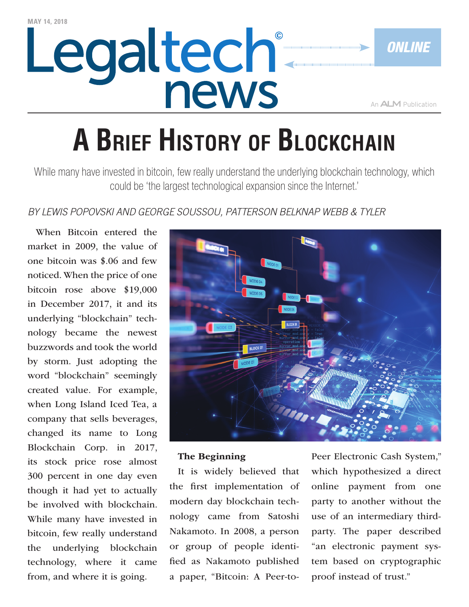# Legaltech®

An **ALM** Publication

*Online*

# **A Brief History of Blockchain**

While many have invested in bitcoin, few really understand the underlying blockchain technology, which could be 'the largest technological expansion since the Internet.'

### *By Lewis Popovski and George Soussou, Patterson Belknap Webb & Tyler*

When Bitcoin entered the market in 2009, the value of one bitcoin was \$.06 and few noticed. When the price of one bitcoin rose above \$19,000 in December 2017, it and its underlying "blockchain" technology became the newest buzzwords and took the world by storm. Just adopting the word "blockchain" seemingly created value. For example, when Long Island Iced Tea, a company that sells beverages, changed its name to Long Blockchain Corp. in 2017, its stock price rose almost 300 percent in one day even though it had yet to actually be involved with blockchain. While many have invested in bitcoin, few really understand the underlying blockchain technology, where it came from, and where it is going.



#### The Beginning

It is widely believed that the first implementation of modern day blockchain technology came from Satoshi Nakamoto. In 2008, a person or group of people identified as Nakamoto published a paper, "Bitcoin: A Peer-toPeer Electronic Cash System," which hypothesized a direct online payment from one party to another without the use of an intermediary thirdparty. The paper described "an electronic payment system based on cryptographic proof instead of trust."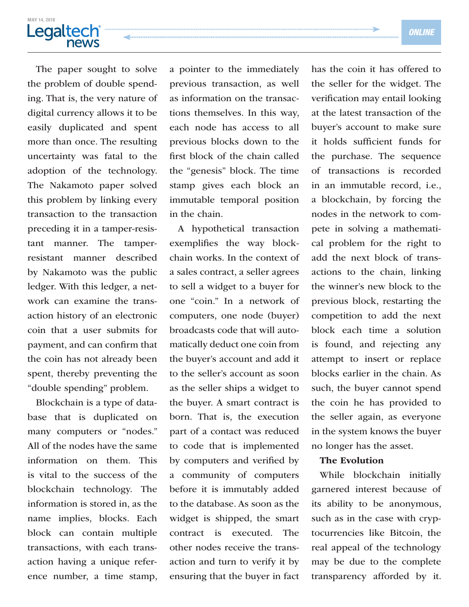# <u>**MAY 14, 2018</u>**</u> news

The paper sought to solve the problem of double spending. That is, the very nature of digital currency allows it to be easily duplicated and spent more than once. The resulting uncertainty was fatal to the adoption of the technology. The Nakamoto paper solved this problem by linking every transaction to the transaction preceding it in a tamper-resistant manner. The tamperresistant manner described by Nakamoto was the public ledger. With this ledger, a network can examine the transaction history of an electronic coin that a user submits for payment, and can confirm that the coin has not already been spent, thereby preventing the "double spending" problem.

Blockchain is a type of database that is duplicated on many computers or "nodes." All of the nodes have the same information on them. This is vital to the success of the blockchain technology. The information is stored in, as the name implies, blocks. Each block can contain multiple transactions, with each transaction having a unique reference number, a time stamp, a pointer to the immediately previous transaction, as well as information on the transactions themselves. In this way, each node has access to all previous blocks down to the first block of the chain called the "genesis" block. The time stamp gives each block an immutable temporal position in the chain.

A hypothetical transaction exemplifies the way blockchain works. In the context of a sales contract, a seller agrees to sell a widget to a buyer for one "coin." In a network of computers, one node (buyer) broadcasts code that will automatically deduct one coin from the buyer's account and add it to the seller's account as soon as the seller ships a widget to the buyer. A smart contract is born. That is, the execution part of a contact was reduced to code that is implemented by computers and verified by a community of computers before it is immutably added to the database. As soon as the widget is shipped, the smart contract is executed. The other nodes receive the transaction and turn to verify it by ensuring that the buyer in fact

has the coin it has offered to the seller for the widget. The verification may entail looking at the latest transaction of the buyer's account to make sure it holds sufficient funds for the purchase. The sequence of transactions is recorded in an immutable record, i.e., a blockchain, by forcing the nodes in the network to compete in solving a mathematical problem for the right to add the next block of transactions to the chain, linking the winner's new block to the previous block, restarting the competition to add the next block each time a solution is found, and rejecting any attempt to insert or replace blocks earlier in the chain. As such, the buyer cannot spend the coin he has provided to the seller again, as everyone in the system knows the buyer no longer has the asset.

#### The Evolution

While blockchain initially garnered interest because of its ability to be anonymous, such as in the case with cryptocurrencies like Bitcoin, the real appeal of the technology may be due to the complete transparency afforded by it.